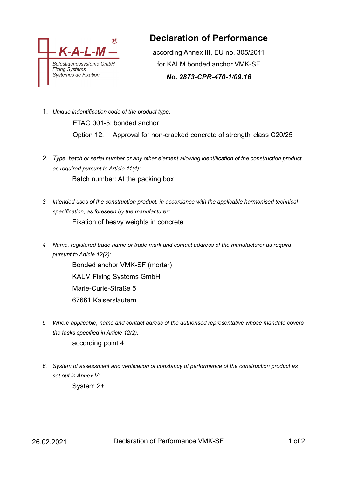

## **Declaration of Performance**

according Annex III, EU no. 305/2011 for KALM bonded anchor VMK-SF

*No. 2873-CPR-470-1/09.16*

- 1. *Unique indentification code of the product type:* ETAG 001-5: bonded anchor Option 12: Approval for non-cracked concrete of strength class C20/25
- *2. Type, batch or serial number or any other element allowing identification of the construction product as required pursunt to Article 11(4):* Batch number: At the packing box
- *3. Intended uses of the construction product, in accordance with the applicable harmonised technical specification, as foreseen by the manufacturer:* Fixation of heavy weights in concrete
- *4. Name, registered trade name or trade mark and contact address of the manufacturer as requird pursunt to Article 12(2):*

Bonded anchor VMK-SF (mortar) KALM Fixing Systems GmbH Marie-Curie-Straße 5 67661 Kaiserslautern

- *5. Where applicable, name and contact adress of the authorised representative whose mandate covers the tasks specified in Article 12(2):* according point 4
- *6. System of assessment and verification of constancy of performance of the construction product as set out in Annex V:*

System 2+